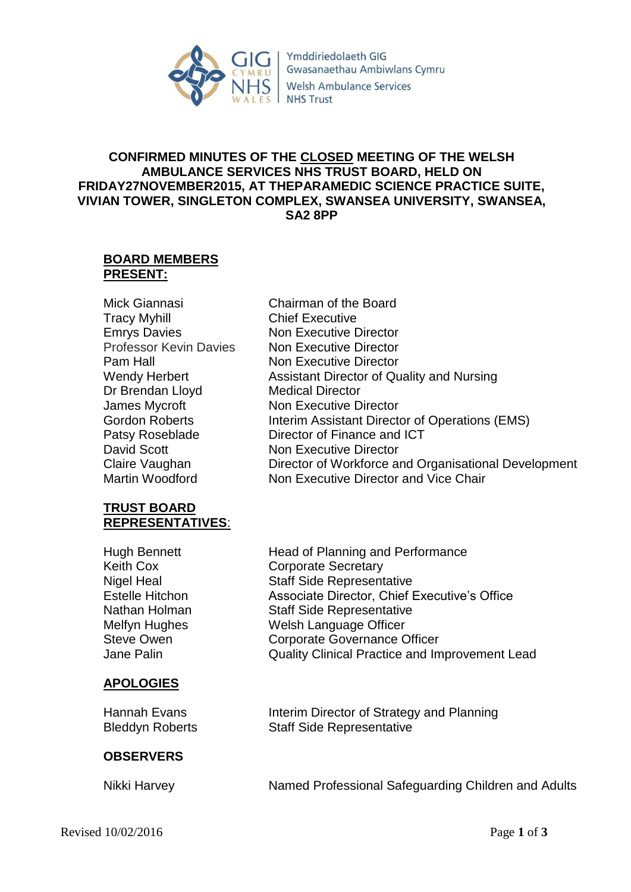

Ymddiriedolaeth GIG Gwasanaethau Ambiwlans Cymru **Welsh Ambulance Services NHS Trust** 

# **CONFIRMED MINUTES OF THE CLOSED MEETING OF THE WELSH AMBULANCE SERVICES NHS TRUST BOARD, HELD ON FRIDAY27NOVEMBER2015, AT THEPARAMEDIC SCIENCE PRACTICE SUITE, VIVIAN TOWER, SINGLETON COMPLEX, SWANSEA UNIVERSITY, SWANSEA, SA2 8PP**

Chairman of the Board

Non Executive Director Non Executive Director Non Executive Director

Chief Executive

Medical Director

### **BOARD MEMBERS PRESENT:**

| Mick Giannasi                 |
|-------------------------------|
| <b>Tracy Myhill</b>           |
| <b>Emrys Davies</b>           |
| <b>Professor Kevin Davies</b> |
| Pam Hall                      |
| Wendy Herbert                 |
| Dr Brendan Lloyd              |
| James Mycroft                 |
| Gordon Roberts                |
| Patsy Roseblade               |
| <b>David Scott</b>            |
| Claire Vaughan                |
| Martin Woodford               |

# **TRUST BOARD REPRESENTATIVES**:

Hugh Bennett Keith Cox Nigel Heal Estelle Hitchon Nathan Holman Melfyn Hughes Steve Owen Jane Palin

# **APOLOGIES**

Hannah Evans

# **OBSERVERS**

Non Executive Director Interim Assistant Director of Operations (EMS) Director of Finance and ICT Non Executive Director Director of Workforce and Organisational Development Non Executive Director and Vice Chair Head of Planning and Performance Corporate Secretary

Assistant Director of Quality and Nursing

Staff Side Representative Associate Director, Chief Executive's Office Staff Side Representative Welsh Language Officer Corporate Governance Officer Quality Clinical Practice and Improvement Lead Bleddyn Roberts Nikki Harvey Interim Director of Strategy and Planning Staff Side Representative Named Professional Safeguarding Children and Adults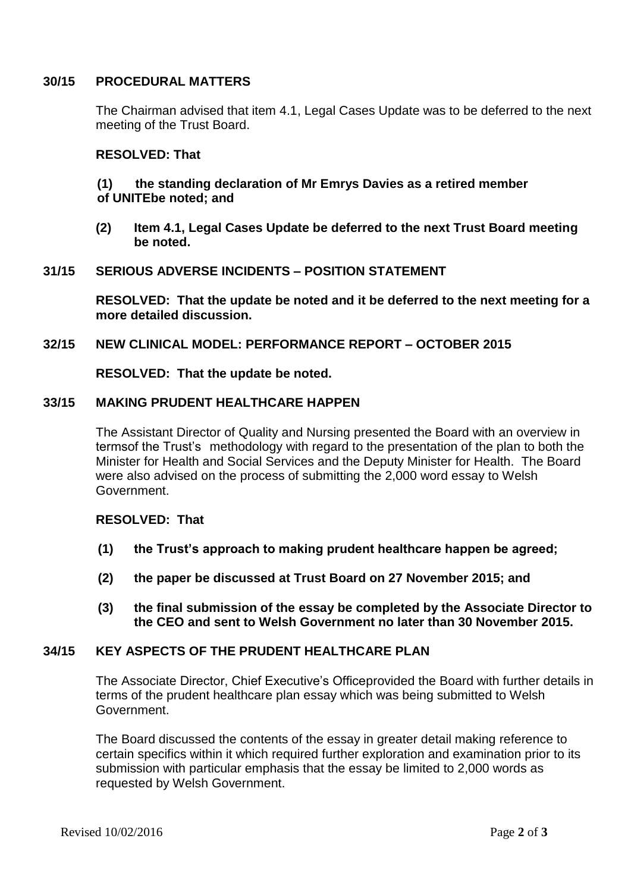### **30/15 PROCEDURAL MATTERS**

The Chairman advised that item 4.1, Legal Cases Update was to be deferred to the next meeting of the Trust Board.

### **RESOLVED: That**

## **(1) the standing declaration of Mr Emrys Davies as a retired member of UNITEbe noted; and**

**(2) Item 4.1, Legal Cases Update be deferred to the next Trust Board meeting be noted.**

### **31/15 SERIOUS ADVERSE INCIDENTS – POSITION STATEMENT**

**RESOLVED: That the update be noted and it be deferred to the next meeting for a more detailed discussion.**

### **32/15 NEW CLINICAL MODEL: PERFORMANCE REPORT – OCTOBER 2015**

**RESOLVED: That the update be noted.**

### **33/15 MAKING PRUDENT HEALTHCARE HAPPEN**

The Assistant Director of Quality and Nursing presented the Board with an overview in termsof the Trust's methodology with regard to the presentation of the plan to both the Minister for Health and Social Services and the Deputy Minister for Health. The Board were also advised on the process of submitting the 2,000 word essay to Welsh Government.

## **RESOLVED: That**

- **(1) the Trust's approach to making prudent healthcare happen be agreed;**
- **(2) the paper be discussed at Trust Board on 27 November 2015; and**
- **(3) the final submission of the essay be completed by the Associate Director to the CEO and sent to Welsh Government no later than 30 November 2015.**

#### **34/15 KEY ASPECTS OF THE PRUDENT HEALTHCARE PLAN**

The Associate Director, Chief Executive's Officeprovided the Board with further details in terms of the prudent healthcare plan essay which was being submitted to Welsh Government.

The Board discussed the contents of the essay in greater detail making reference to certain specifics within it which required further exploration and examination prior to its submission with particular emphasis that the essay be limited to 2,000 words as requested by Welsh Government.